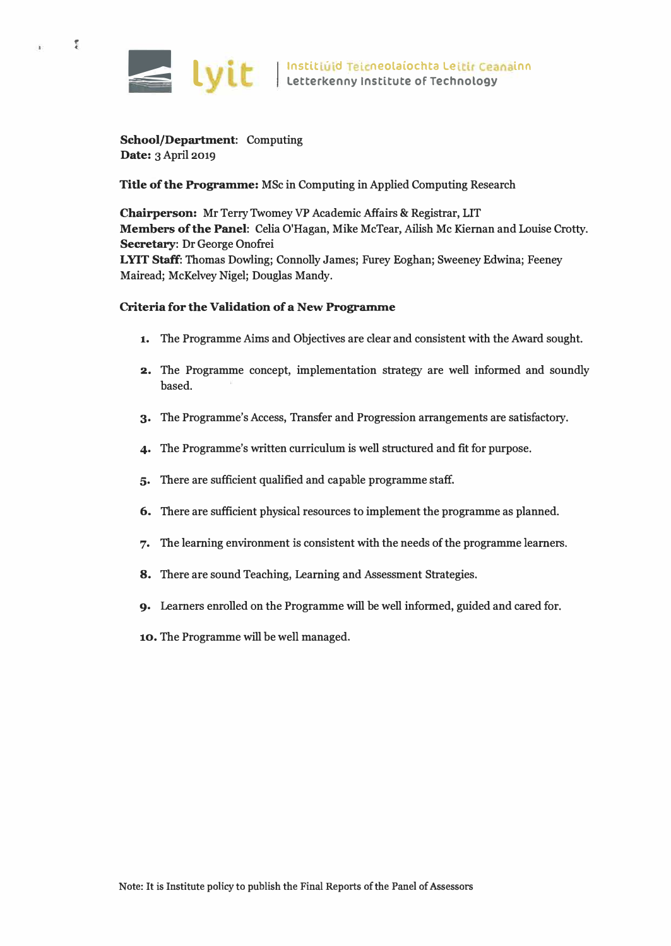

**f**  ·-

g)

**School/Department: Computing Date: 3 April 2019** 

**Title of the Programme: MSc in Computing in Applied Computing Research** 

**Chairperson: Mr Terry Twomey VP Academic Affairs & Registrar, LIT Members of the Panel: Celia O'Hagan, Mike McTear, Ailish Mc Kiernan and Louise Crotty. Secretary: Dr George Onofrei L YIT Staff: Thomas Dowling; Connolly James; Furey Eoghan; Sweeney Edwina; Feeney Mairead; McKelvey Nigel; Douglas Mandy.** 

## **Criteria for the Validation of a New Programme**

- **1. The Programme Aims and Objectives are clear and consistent with the Award sought.**
- **2. The Programme concept, implementation strategy are well informed and soundly based.**
- **3. The Programme's Access, Transfer and Progression arrangements are satisfactory.**
- **4. The Programme's written curriculum is well structured and fit for purpose.**
- **5. There are sufficient qualified and capable programme staff.**
- **6. There are sufficient physical resources to implement the programme as planned.**
- **7. The learning environment is consistent with the needs of the programme learners.**
- **8. There are sound Teaching, Learning and Assessment Strategies.**
- **9. Learners enrolled on the Programme will be well informed, guided and cared for.**
- **10. The Programme will be well managed.**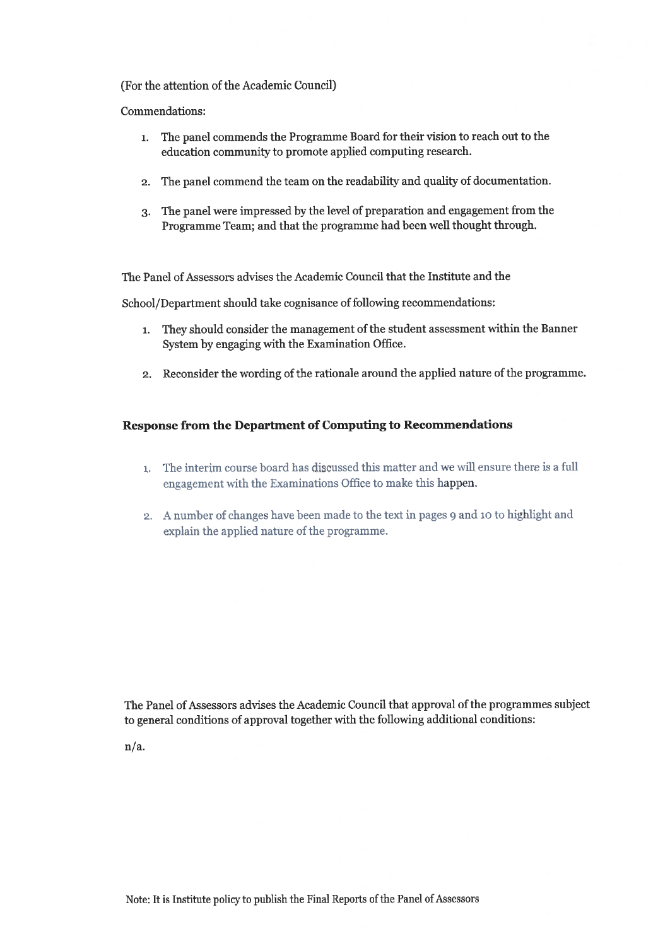#### (For the attention of the Academic Council)

Commendations:

- The panel commends the Programme Board for their vision to reach out to the  $1.$ education community to promote applied computing research.
- 2. The panel commend the team on the readability and quality of documentation.
- The panel were impressed by the level of preparation and engagement from the  $3.$ Programme Team; and that the programme had been well thought through.

The Panel of Assessors advises the Academic Council that the Institute and the

School/Department should take cognisance of following recommendations:

- 1. They should consider the management of the student assessment within the Banner System by engaging with the Examination Office.
- 2. Reconsider the wording of the rationale around the applied nature of the programme.

#### **Response from the Department of Computing to Recommendations**

- 1. The interim course board has discussed this matter and we will ensure there is a full engagement with the Examinations Office to make this happen.
- 2. A number of changes have been made to the text in pages 9 and 10 to highlight and explain the applied nature of the programme.

The Panel of Assessors advises the Academic Council that approval of the programmes subject to general conditions of approval together with the following additional conditions:

 $n/a.$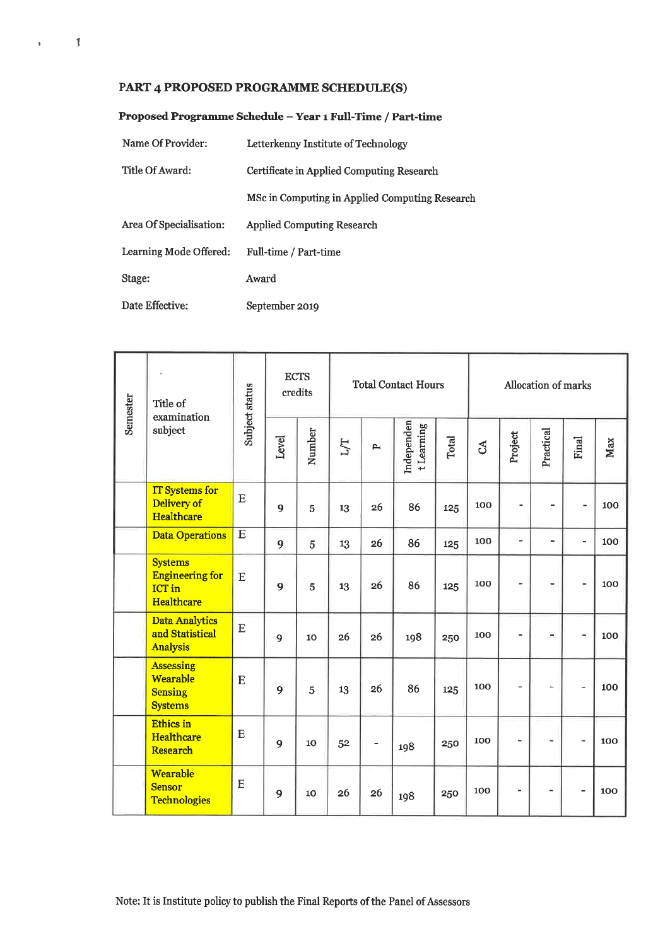# PART 4 PROPOSED PROGRAMME SCHEDULE(S)

 $\mathbf{r}=-\mathbf{f}$ 

| Name Of Provider:       | Letterkenny Institute of Technology            |  |  |  |  |  |  |
|-------------------------|------------------------------------------------|--|--|--|--|--|--|
| Title Of Award:         | Certificate in Applied Computing Research      |  |  |  |  |  |  |
|                         | MSc in Computing in Applied Computing Research |  |  |  |  |  |  |
| Area Of Specialisation: | <b>Applied Computing Research</b>              |  |  |  |  |  |  |
| Learning Mode Offered:  | Full-time / Part-time                          |  |  |  |  |  |  |
| Stage:                  | Award                                          |  |  |  |  |  |  |
| Date Effective:         | September 2019                                 |  |  |  |  |  |  |

| Semester | Title of<br>examination<br>subject                                      | Subject status |       | <b>ECTS</b><br>credits |     |              | <b>Total Contact Hours</b> |       | Allocation of marks |                          |                          |                          |     |  |
|----------|-------------------------------------------------------------------------|----------------|-------|------------------------|-----|--------------|----------------------------|-------|---------------------|--------------------------|--------------------------|--------------------------|-----|--|
|          |                                                                         |                | Level | Number                 | Г/Г | $\mathbf{p}$ | Independen<br>t Learning   | Total | $\mathfrak{S}$      | Project                  | Practical                | Final                    | Max |  |
|          | <b>IT Systems for</b><br>Delivery of<br><b>Healthcare</b>               | E              | 9     | 5                      | 13  | 26           | 86                         | 125   | 100                 | $\blacksquare$           | -                        | $\overline{\phantom{a}}$ | 100 |  |
|          | <b>Data Operations</b>                                                  | $\bf E$        | 9     | 5                      | 13  | 26           | 86                         | 125   | 100                 | $\overline{\phantom{a}}$ | i.                       | ä,                       | 100 |  |
|          | <b>Systems</b><br><b>Engineering for</b><br><b>ICT</b> in<br>Healthcare | $\mathbf E$    | 9     | 5                      | 13  | 26           | 86                         | 125   | 100                 | $\overline{a}$           | -                        | $\overline{a}$           | 100 |  |
|          | <b>Data Analytics</b><br>and Statistical<br><b>Analysis</b>             | E              | 9     | 10                     | 26  | 26           | 198                        | 250   | 100                 | ÷                        | ä,                       | $\blacksquare$           | 100 |  |
|          | <b>Assessing</b><br>Wearable<br><b>Sensing</b><br><b>Systems</b>        | E              | 9     | 5                      | 13  | 26           | 86                         | 125   | 100                 | L,                       | ÷.                       | $\overline{\phantom{0}}$ | 100 |  |
|          | <b>Ethics</b> in<br>Healthcare<br><b>Research</b>                       | $\mathbf E$    | 9     | 10                     | 52  | -            | 198                        | 250   | 100                 | $\overline{\phantom{0}}$ | $\overline{\phantom{a}}$ | $\frac{1}{2}$            | 100 |  |
|          | Wearable<br><b>Sensor</b><br><b>Technologies</b>                        | E              | 9     | 10                     | 26  | 26           | 198                        | 250   | 100                 |                          | ۰                        | $\overline{\phantom{0}}$ | 100 |  |

## Proposed Programme Schedule - Year 1 Full-Time / Part-time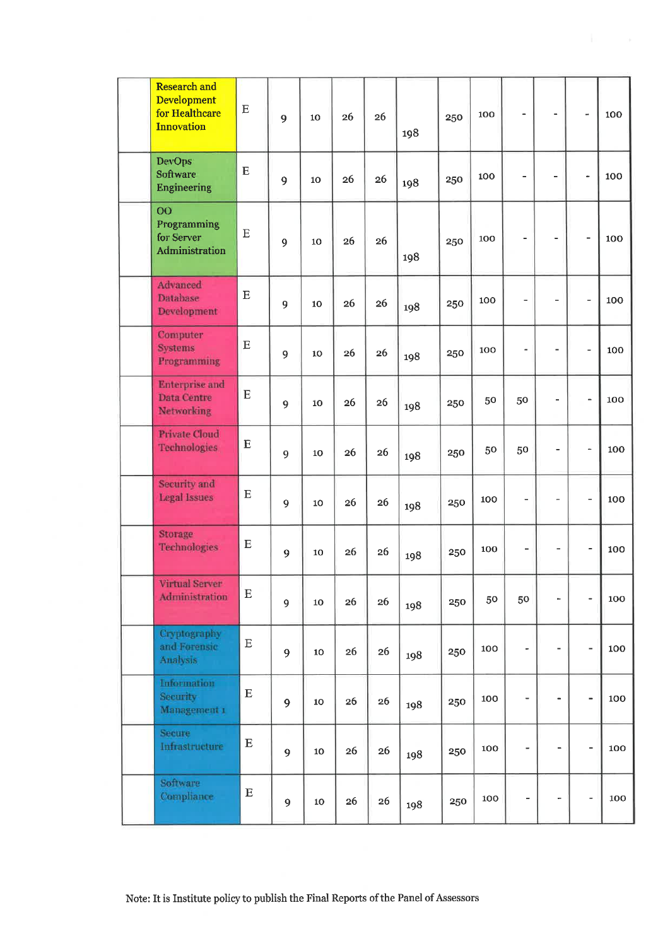| <b>Research and</b><br><b>Development</b><br>for Healthcare<br><b>Innovation</b> | $\mathbf E$ | 9 | 10 | 26 | 26 | 198 | 250 | 100 | $\overline{a}$           | $\overline{\phantom{0}}$     |                          | 100 |
|----------------------------------------------------------------------------------|-------------|---|----|----|----|-----|-----|-----|--------------------------|------------------------------|--------------------------|-----|
| <b>DevOps</b><br><b>Software</b><br><b>Engineering</b>                           | E           | 9 | 10 | 26 | 26 | 198 | 250 | 100 |                          | ÷                            | ÷.                       | 100 |
| $\overline{O}O$<br>Programming<br>for Server<br>Administration                   | E           | 9 | 10 | 26 | 26 | 198 | 250 | 100 | $\blacksquare$           | $\blacksquare$               |                          | 100 |
| <b>Advanced</b><br>Database<br>Development                                       | ${\bf E}$   | 9 | 10 | 26 | 26 | 198 | 250 | 100 | $\overline{a}$           | $\overline{\phantom{0}}$     | -                        | 100 |
| Computer<br><b>Systems</b><br>Programming                                        | ${\bf E}$   | 9 | 10 | 26 | 26 | 198 | 250 | 100 | $\overline{a}$           | $\overline{\phantom{a}}$     | $\overline{a}$           | 100 |
| <b>Enterprise</b> and<br>Data Centre<br><b>Networking</b>                        | E           | 9 | 10 | 26 | 26 | 198 | 250 | 50  | 50                       | L,                           | $\overline{a}$           | 100 |
| <b>Private Cloud</b><br><b>Technologies</b>                                      | E           | 9 | 10 | 26 | 26 | 198 | 250 | 50  | 50                       | $\overline{\phantom{0}}$     | $\overline{\phantom{0}}$ | 100 |
| Security and<br><b>Legal Issues</b>                                              | $\mathbf E$ | 9 | 10 | 26 | 26 | 198 | 250 | 100 | $\overline{a}$           | $\overline{a}$               | ÷,                       | 100 |
| Storage<br>Technologies                                                          | $\mathbf E$ | 9 | 10 | 26 | 26 | 198 | 250 | 100 | $\overline{a}$           | $\overline{a}$               | $\overline{a}$           | 100 |
| Virtual Server<br>Administration                                                 | ${\bf E}$   | 9 | 10 | 26 | 26 | 198 | 250 | 50  | 50                       | $\ddot{\phantom{0}}$         | $\qquad \qquad -$        | 100 |
| Cryptography<br>and Forensic<br>Analysis                                         | $\mathbf E$ | 9 | 10 | 26 | 26 | 198 | 250 | 100 | ä,                       | $\qquad \qquad \blacksquare$ | ÷,                       | 100 |
| Information<br><b>Security</b><br>Management 1                                   | ${\bf E}$   | 9 | 10 | 26 | 26 | 198 | 250 | 100 | $\overline{\phantom{0}}$ | $\qquad \qquad \blacksquare$ | $\overline{\phantom{0}}$ | 100 |
| Secure<br>Infrastructure                                                         | ${\bf E}$   | 9 | 10 | 26 | 26 | 198 | 250 | 100 | $\overline{\phantom{a}}$ | $\blacksquare$               | $\overline{\phantom{0}}$ | 100 |
| Software<br>Compliance                                                           | $\mathbf E$ | 9 | 10 | 26 | 26 | 198 | 250 | 100 | -                        | ۰                            | $\overline{\phantom{0}}$ | 100 |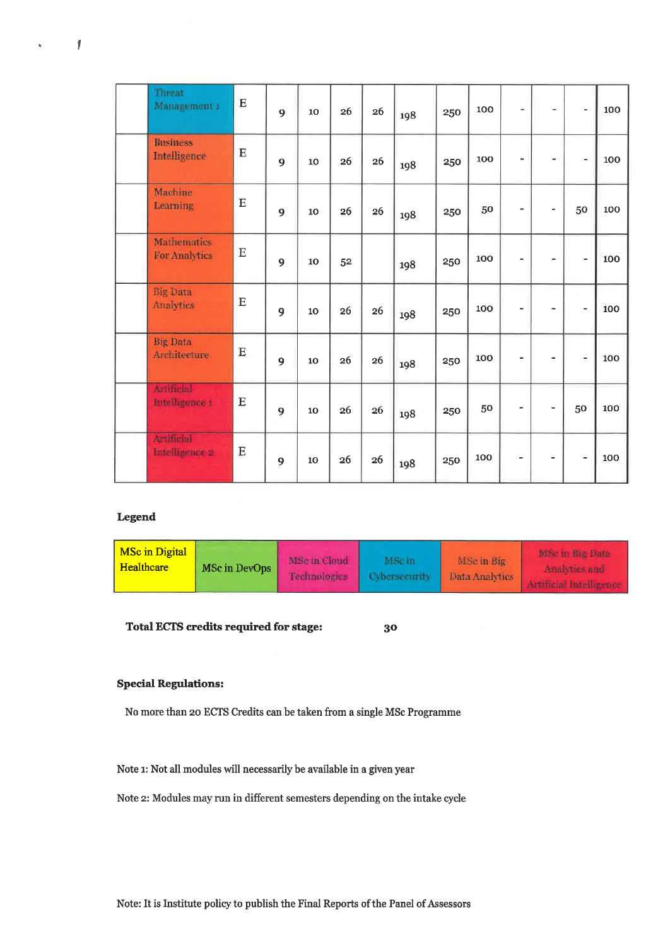| Threat<br>Management 1              | E        | 9 | 10 | 26 | 26 | 198 | 250 | 100 | $\frac{1}{2}$            | ۰                            | $\qquad \qquad -$        | 100 |
|-------------------------------------|----------|---|----|----|----|-----|-----|-----|--------------------------|------------------------------|--------------------------|-----|
| <b>Business</b><br>Intelligence     | E        | 9 | 10 | 26 | 26 | 198 | 250 | 100 | ۰                        | $\qquad \qquad \blacksquare$ | $\overline{\phantom{0}}$ | 100 |
| Machine<br>Learning                 | E        | 9 | 10 | 26 | 26 | 198 | 250 | 50  | $\blacksquare$           | ٠                            | 50                       | 100 |
| <b>Mathematics</b><br>For Analytics | E        | 9 | 10 | 52 |    | 198 | 250 | 100 | $\overline{\phantom{a}}$ | $\overline{a}$               | $\overline{\phantom{0}}$ | 100 |
| <b>Big Data</b><br>Analytics        | E        | 9 | 10 | 26 | 26 | 198 | 250 | 100 | $\blacksquare$           | $\overline{\phantom{a}}$     | $\overline{\phantom{m}}$ | 100 |
| <b>Big Data</b><br>Architecture     | $\bf E$  | 9 | 10 | 26 | 26 | 198 | 250 | 100 | $\blacksquare$           | $\blacksquare$               | ÷,                       | 100 |
| <b>Artificial</b><br>Intelligence 1 | $\bf{E}$ | 9 | 10 | 26 | 26 | 198 | 250 | 50  |                          | $\blacksquare$               | 50                       | 100 |
| Artificial<br>Intelligence 2        | E        | 9 | 10 | 26 | 26 | 198 | 250 | 100 |                          | $\overline{\phantom{a}}$     | $\overline{\phantom{0}}$ | 100 |

## Legend

 $\overline{1}$ 

 $\mathbf{e}^{\pm}$ 

| <b>MSc in Digital</b><br>Healthcare | MSc in DevOps | MSc in Cloud<br><b>Technologies</b> | MSe in<br>Cybersecurity | MSc in Big<br>Data Analytics | MSc in Big Data |
|-------------------------------------|---------------|-------------------------------------|-------------------------|------------------------------|-----------------|
|                                     |               |                                     |                         |                              |                 |

Total ECTS credits required for stage:  $30^{\circ}$ 

### **Special Regulations:**

No more than 20 ECTS Credits can be taken from a single MSc Programme

Note 1: Not all modules will necessarily be available in a given year

Note 2: Modules may run in different semesters depending on the intake cycle

Note: It is Institute policy to publish the Final Reports of the Panel of Assessors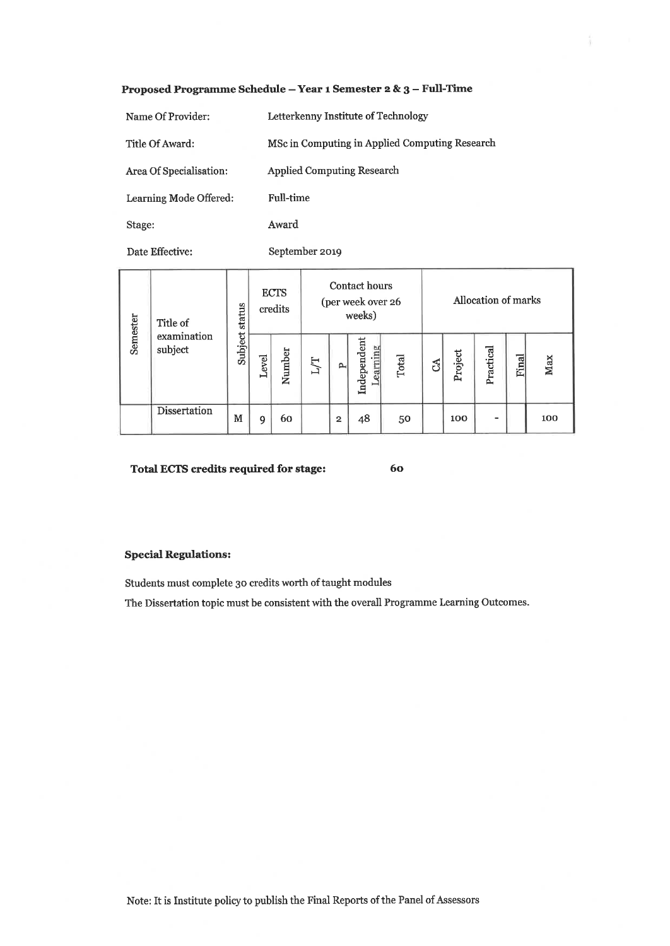#### Proposed Programme Schedule - Year 1 Semester 2 & 3 - Full-Time

| Name Of Provider:       | Letterkenny Institute of Technology            |
|-------------------------|------------------------------------------------|
| Title Of Award:         | MSc in Computing in Applied Computing Research |
| Area Of Specialisation: | <b>Applied Computing Research</b>              |
| Learning Mode Offered:  | <b>Full-time</b>                               |
| Stage:                  | Award                                          |

Date Effective:

September 2019

| Semester | Title of<br>examination<br>subject | status  |       | <b>ECTS</b><br>credits | Contact hours<br>(per week over 26<br>weeks) |                |                         |       |  | Allocation of marks |           |              |     |  |  |
|----------|------------------------------------|---------|-------|------------------------|----------------------------------------------|----------------|-------------------------|-------|--|---------------------|-----------|--------------|-----|--|--|
|          |                                    | Subject | Level | Number                 | L/T                                          | P,             | Independent<br>Learning | Total |  | Project             | Practical | <b>Final</b> | Max |  |  |
|          | <b>Dissertation</b>                | M       | 9     | 60                     |                                              | $\overline{2}$ | 48                      | 50    |  | 100                 | -         |              | 100 |  |  |

Total ECTS credits required for stage:

60

î.

#### **Special Regulations:**

Students must complete 30 credits worth of taught modules

The Dissertation topic must be consistent with the overall Programme Learning Outcomes.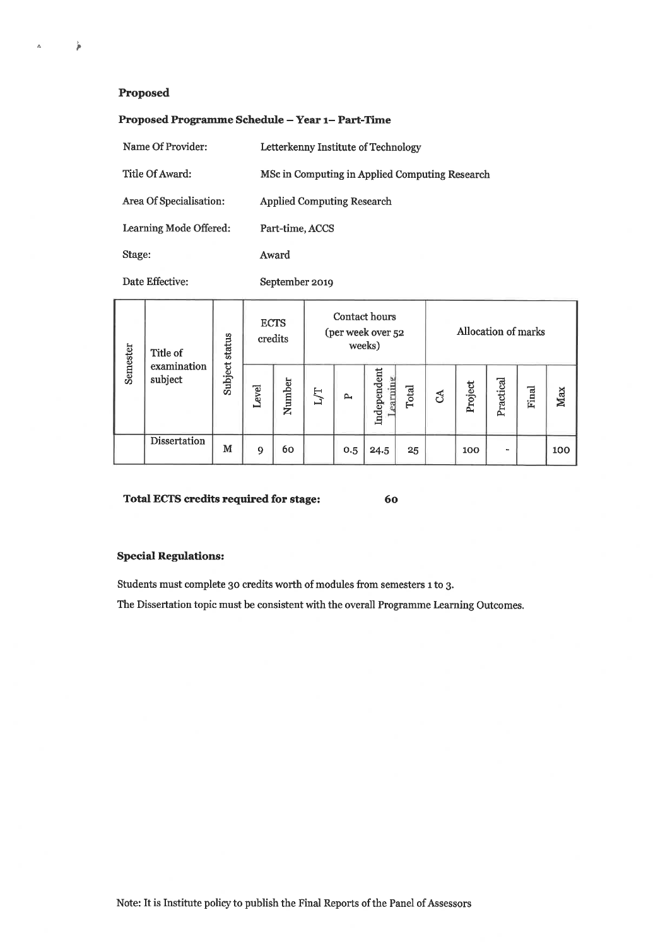#### Proposed

 $\mathbf{\hat{p}}$ 

 $\Delta$ 

#### Proposed Programme Schedule - Year 1- Part-Time

| Name Of Provider:       | Letterkenny Institute of Technology            |
|-------------------------|------------------------------------------------|
| Title Of Award:         | MSc in Computing in Applied Computing Research |
| Area Of Specialisation: | <b>Applied Computing Research</b>              |
| Learning Mode Offered:  | Part-time, ACCS                                |
| Stage:                  | Award                                          |

Date Effective:

September 2019

| Title of |                        | Subject status | <b>ECTS</b><br>credits |        |    |              | Contact hours<br>(per week over 52<br>weeks) |       | Allocation of marks |         |           |       |     |
|----------|------------------------|----------------|------------------------|--------|----|--------------|----------------------------------------------|-------|---------------------|---------|-----------|-------|-----|
| Semester | examination<br>subject |                | evel                   | Number | LД | $\mathbf{p}$ | Independent<br>earning                       | Total | රි                  | Project | Practical | Final | Max |
|          | Dissertation           | м              | 9                      | 60     |    | 0.5          | 24.5                                         | 25    |                     | 100     | $\sim$    |       | 100 |

#### Total ECTS credits required for stage:

60

## **Special Regulations:**

Students must complete 30 credits worth of modules from semesters 1 to 3.

The Dissertation topic must be consistent with the overall Programme Learning Outcomes.